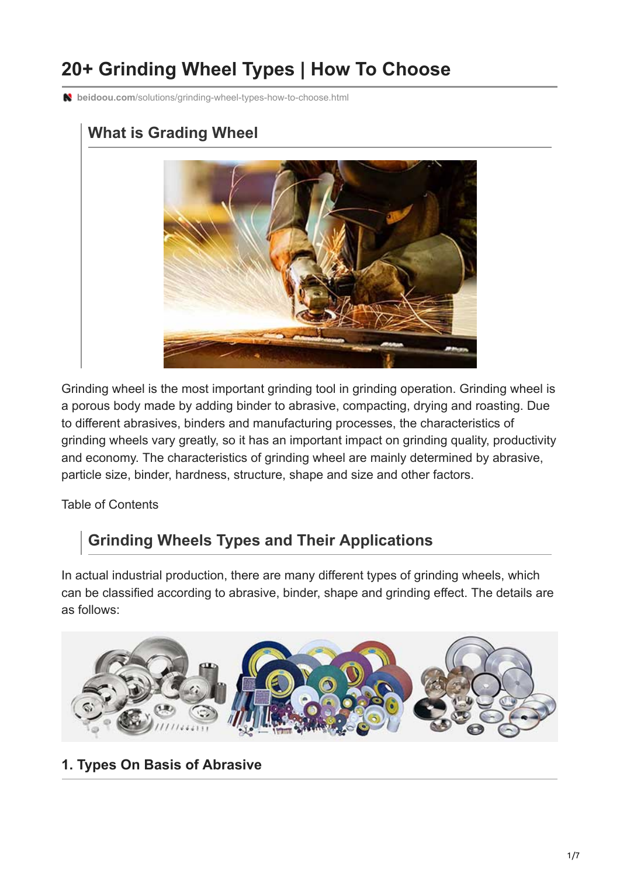# **20+ Grinding Wheel Types | How To Choose**

**beidoou.com**[/solutions/grinding-wheel-types-how-to-choose.html](https://www.beidoou.com/solutions/grinding-wheel-types-how-to-choose.html)



Grinding wheel is the most important grinding tool in grinding operation. Grinding wheel is a porous body made by adding binder to abrasive, compacting, drying and roasting. Due to different abrasives, binders and manufacturing processes, the characteristics of grinding wheels vary greatly, so it has an important impact on grinding quality, productivity and economy. The characteristics of grinding wheel are mainly determined by abrasive, particle size, binder, hardness, structure, shape and size and other factors.

Table of Contents

# **Grinding Wheels Types and Their Applications**

In actual industrial production, there are many different types of grinding wheels, which can be classified according to abrasive, binder, shape and grinding effect. The details are as follows:



## **1. Types On Basis of Abrasive**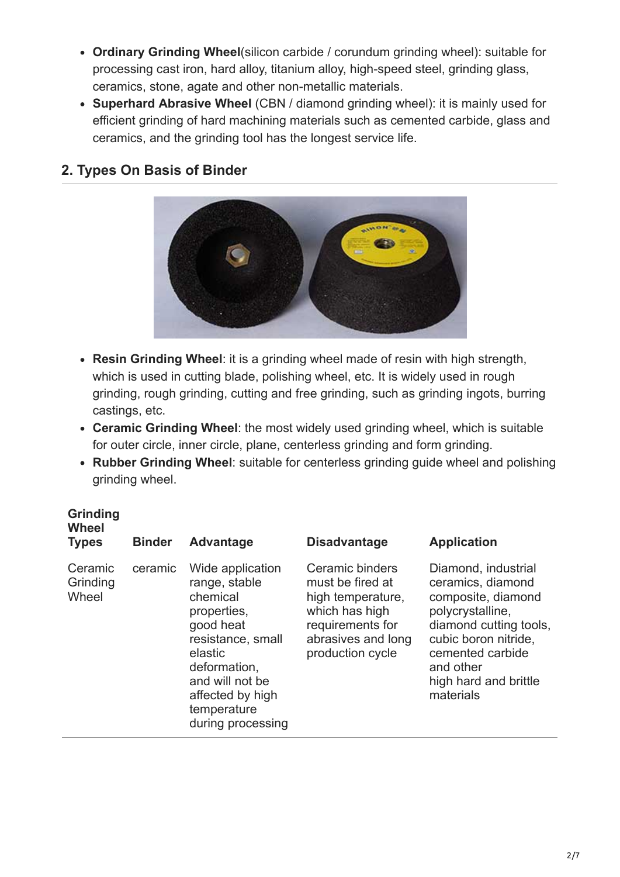- **Ordinary Grinding Wheel**(silicon carbide / corundum grinding wheel): suitable for processing cast iron, hard alloy, titanium alloy, high-speed steel, grinding glass, ceramics, stone, agate and other non-metallic materials.
- **Superhard Abrasive Wheel** (CBN / diamond grinding wheel): it is mainly used for efficient grinding of hard machining materials such as cemented carbide, glass and ceramics, and the grinding tool has the longest service life.

#### **2. Types On Basis of Binder**



- **Resin Grinding Wheel**: it is a grinding wheel made of resin with high strength, which is used in cutting blade, polishing wheel, etc. It is widely used in rough grinding, rough grinding, cutting and free grinding, such as grinding ingots, burring castings, etc.
- **Ceramic Grinding Wheel**: the most widely used grinding wheel, which is suitable for outer circle, inner circle, plane, centerless grinding and form grinding.
- **Rubber Grinding Wheel**: suitable for centerless grinding guide wheel and polishing grinding wheel.

#### **Grinding Wheel**

| <b>Wheel</b><br><b>Types</b> | <b>Binder</b> | Advantage                                                                                                                                                                                            | <b>Disadvantage</b>                                                                                                                      | <b>Application</b>                                                                                                                                                                                          |
|------------------------------|---------------|------------------------------------------------------------------------------------------------------------------------------------------------------------------------------------------------------|------------------------------------------------------------------------------------------------------------------------------------------|-------------------------------------------------------------------------------------------------------------------------------------------------------------------------------------------------------------|
| Ceramic<br>Grinding<br>Wheel | ceramic       | Wide application<br>range, stable<br>chemical<br>properties,<br>good heat<br>resistance, small<br>elastic<br>deformation,<br>and will not be<br>affected by high<br>temperature<br>during processing | Ceramic binders<br>must be fired at<br>high temperature,<br>which has high<br>requirements for<br>abrasives and long<br>production cycle | Diamond, industrial<br>ceramics, diamond<br>composite, diamond<br>polycrystalline,<br>diamond cutting tools,<br>cubic boron nitride,<br>cemented carbide<br>and other<br>high hard and brittle<br>materials |
|                              |               |                                                                                                                                                                                                      |                                                                                                                                          |                                                                                                                                                                                                             |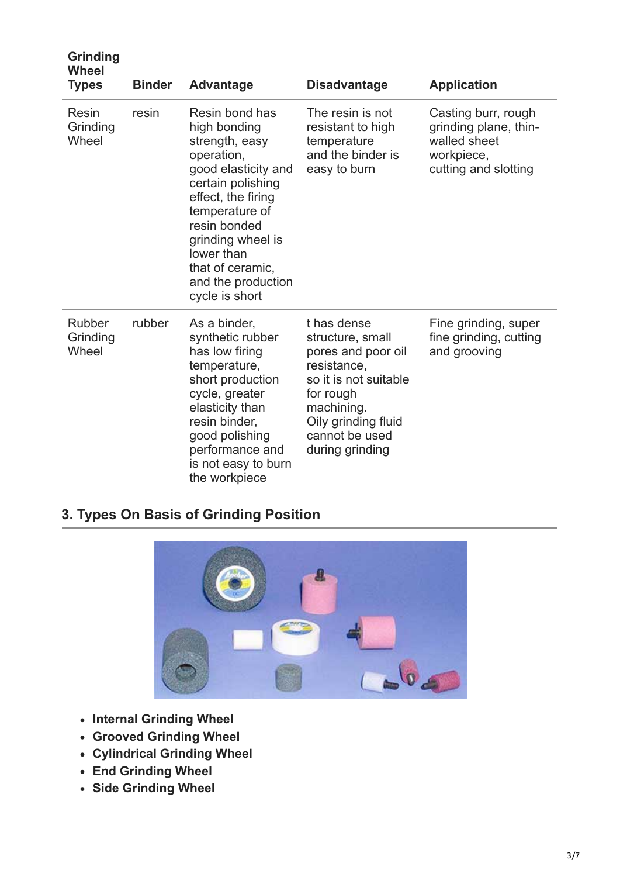| <b>Grinding</b><br><b>Wheel</b><br><b>Types</b> | <b>Binder</b> | Advantage                                                                                                                                                                                                                                                         | <b>Disadvantage</b>                                                                                                                                                                  | <b>Application</b>                                                                                 |
|-------------------------------------------------|---------------|-------------------------------------------------------------------------------------------------------------------------------------------------------------------------------------------------------------------------------------------------------------------|--------------------------------------------------------------------------------------------------------------------------------------------------------------------------------------|----------------------------------------------------------------------------------------------------|
| Resin<br>Grinding<br>Wheel                      | resin         | Resin bond has<br>high bonding<br>strength, easy<br>operation,<br>good elasticity and<br>certain polishing<br>effect, the firing<br>temperature of<br>resin bonded<br>grinding wheel is<br>lower than<br>that of ceramic,<br>and the production<br>cycle is short | The resin is not<br>resistant to high<br>temperature<br>and the binder is<br>easy to burn                                                                                            | Casting burr, rough<br>grinding plane, thin-<br>walled sheet<br>workpiece,<br>cutting and slotting |
| Rubber<br>Grinding<br>Wheel                     | rubber        | As a binder,<br>synthetic rubber<br>has low firing<br>temperature,<br>short production<br>cycle, greater<br>elasticity than<br>resin binder,<br>good polishing<br>performance and<br>is not easy to burn<br>the workpiece                                         | t has dense<br>structure, small<br>pores and poor oil<br>resistance.<br>so it is not suitable<br>for rough<br>machining.<br>Oily grinding fluid<br>cannot be used<br>during grinding | Fine grinding, super<br>fine grinding, cutting<br>and grooving                                     |

# **3. Types On Basis of Grinding Position**



- **Internal Grinding Wheel**
- **Grooved Grinding Wheel**
- **Cylindrical Grinding Wheel**
- **End Grinding Wheel**
- **Side Grinding Wheel**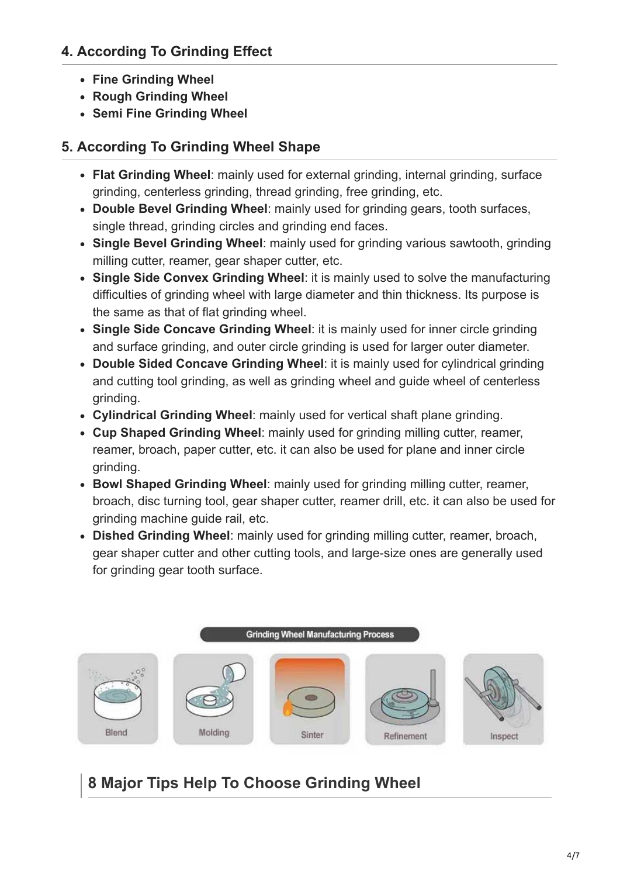## **4. According To Grinding Effect**

- **Fine Grinding Wheel**
- **Rough Grinding Wheel**
- **Semi Fine Grinding Wheel**

## **5. According To Grinding Wheel Shape**

- **Flat Grinding Wheel**: mainly used for external grinding, internal grinding, surface grinding, centerless grinding, thread grinding, free grinding, etc.
- **Double Bevel Grinding Wheel**: mainly used for grinding gears, tooth surfaces, single thread, grinding circles and grinding end faces.
- **Single Bevel Grinding Wheel**: mainly used for grinding various sawtooth, grinding milling cutter, reamer, gear shaper cutter, etc.
- **Single Side Convex Grinding Wheel**: it is mainly used to solve the manufacturing difficulties of grinding wheel with large diameter and thin thickness. Its purpose is the same as that of flat grinding wheel.
- **Single Side Concave Grinding Wheel**: it is mainly used for inner circle grinding and surface grinding, and outer circle grinding is used for larger outer diameter.
- **Double Sided Concave Grinding Wheel**: it is mainly used for cylindrical grinding and cutting tool grinding, as well as grinding wheel and guide wheel of centerless grinding.
- **Cylindrical Grinding Wheel**: mainly used for vertical shaft plane grinding.
- **Cup Shaped Grinding Wheel**: mainly used for grinding milling cutter, reamer, reamer, broach, paper cutter, etc. it can also be used for plane and inner circle grinding.
- **Bowl Shaped Grinding Wheel**: mainly used for grinding milling cutter, reamer, broach, disc turning tool, gear shaper cutter, reamer drill, etc. it can also be used for grinding machine guide rail, etc.
- **Dished Grinding Wheel**: mainly used for grinding milling cutter, reamer, broach, gear shaper cutter and other cutting tools, and large-size ones are generally used for grinding gear tooth surface.



# **8 Major Tips Help To Choose Grinding Wheel**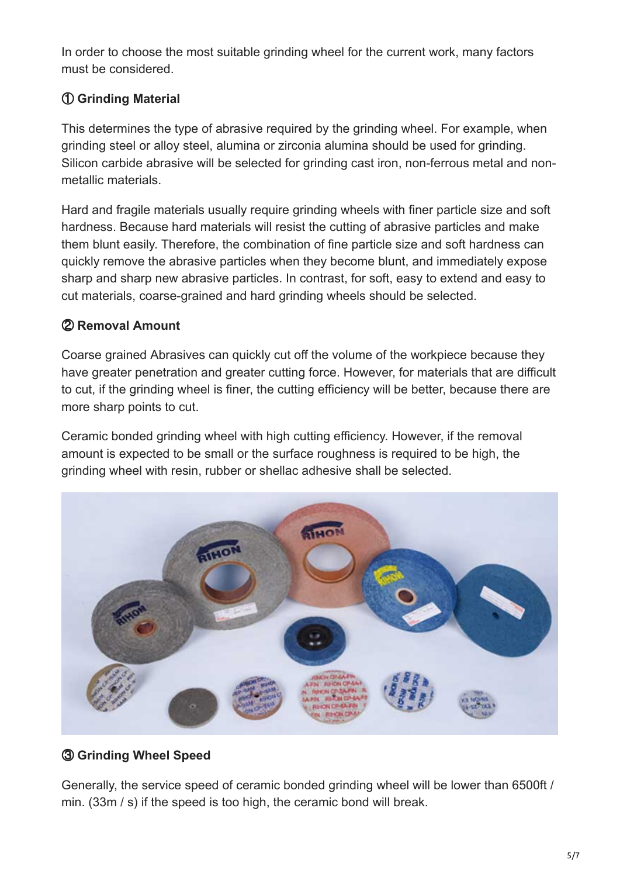In order to choose the most suitable grinding wheel for the current work, many factors must be considered.

#### ① **Grinding Material**

This determines the type of abrasive required by the grinding wheel. For example, when grinding steel or alloy steel, alumina or zirconia alumina should be used for grinding. Silicon carbide abrasive will be selected for grinding cast iron, non-ferrous metal and nonmetallic materials.

Hard and fragile materials usually require grinding wheels with finer particle size and soft hardness. Because hard materials will resist the cutting of abrasive particles and make them blunt easily. Therefore, the combination of fine particle size and soft hardness can quickly remove the abrasive particles when they become blunt, and immediately expose sharp and sharp new abrasive particles. In contrast, for soft, easy to extend and easy to cut materials, coarse-grained and hard grinding wheels should be selected.

#### ② **Removal Amount**

Coarse grained Abrasives can quickly cut off the volume of the workpiece because they have greater penetration and greater cutting force. However, for materials that are difficult to cut, if the grinding wheel is finer, the cutting efficiency will be better, because there are more sharp points to cut.

Ceramic bonded grinding wheel with high cutting efficiency. However, if the removal amount is expected to be small or the surface roughness is required to be high, the grinding wheel with resin, rubber or shellac adhesive shall be selected.



#### ③ **Grinding Wheel Speed**

Generally, the service speed of ceramic bonded grinding wheel will be lower than 6500ft / min. (33m / s) if the speed is too high, the ceramic bond will break.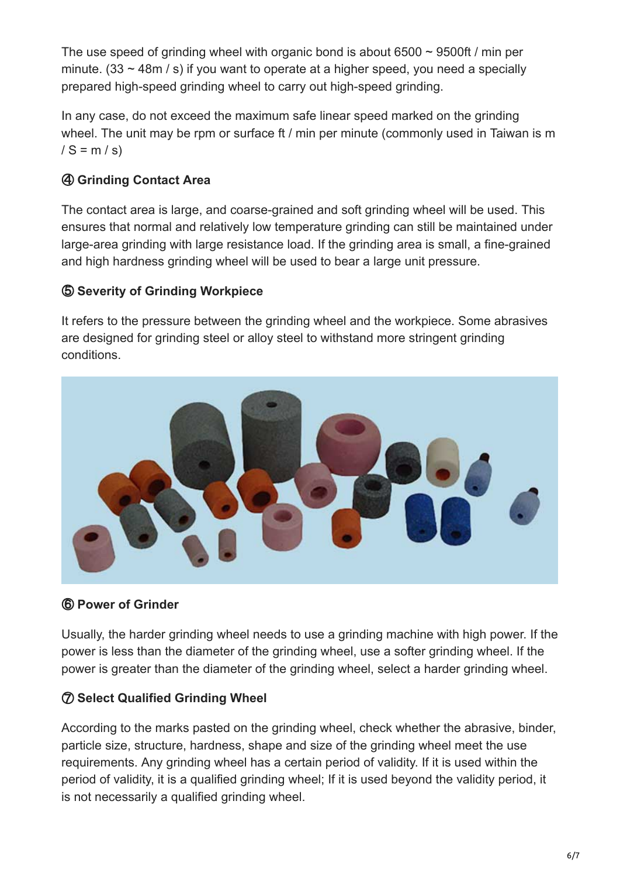The use speed of grinding wheel with organic bond is about  $6500 \sim 9500$ ft / min per minute. (33  $\sim$  48m / s) if you want to operate at a higher speed, you need a specially prepared high-speed grinding wheel to carry out high-speed grinding.

In any case, do not exceed the maximum safe linear speed marked on the grinding wheel. The unit may be rpm or surface ft / min per minute (commonly used in Taiwan is m  $/S = m/s$ 

### ④ **Grinding Contact Area**

The contact area is large, and coarse-grained and soft grinding wheel will be used. This ensures that normal and relatively low temperature grinding can still be maintained under large-area grinding with large resistance load. If the grinding area is small, a fine-grained and high hardness grinding wheel will be used to bear a large unit pressure.

#### ⑤ **Severity of Grinding Workpiece**

It refers to the pressure between the grinding wheel and the workpiece. Some abrasives are designed for grinding steel or alloy steel to withstand more stringent grinding conditions.



#### ⑥ **Power of Grinder**

Usually, the harder grinding wheel needs to use a grinding machine with high power. If the power is less than the diameter of the grinding wheel, use a softer grinding wheel. If the power is greater than the diameter of the grinding wheel, select a harder grinding wheel.

#### ⑦ **Select Qualified Grinding Wheel**

According to the marks pasted on the grinding wheel, check whether the abrasive, binder, particle size, structure, hardness, shape and size of the grinding wheel meet the use requirements. Any grinding wheel has a certain period of validity. If it is used within the period of validity, it is a qualified grinding wheel; If it is used beyond the validity period, it is not necessarily a qualified grinding wheel.